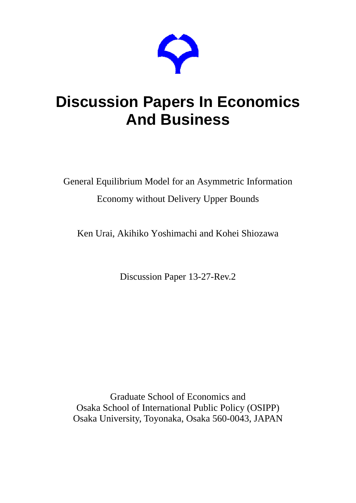

# **Discussion Papers In Economics And Business**

General Equilibrium Model for an Asymmetric Information Economy without Delivery Upper Bounds

Ken Urai, Akihiko Yoshimachi and Kohei Shiozawa

Discussion Paper 13-27-Rev.2

Graduate School of Economics and Osaka School of International Public Policy (OSIPP) Osaka University, Toyonaka, Osaka 560-0043, JAPAN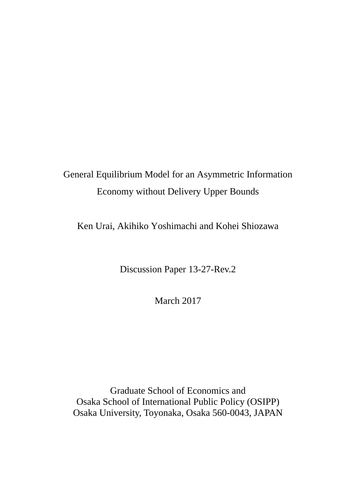## General Equilibrium Model for an Asymmetric Information Economy without Delivery Upper Bounds

Ken Urai, Akihiko Yoshimachi and Kohei Shiozawa

Discussion Paper 13-27-Rev.2

March 2017

Graduate School of Economics and Osaka School of International Public Policy (OSIPP) Osaka University, Toyonaka, Osaka 560-0043, JAPAN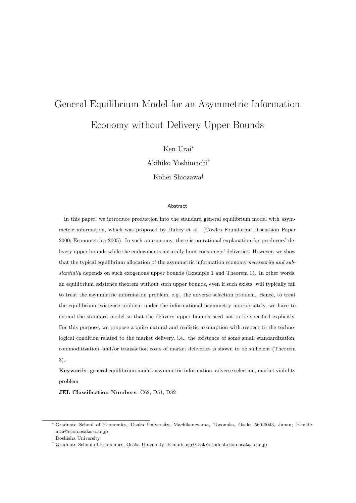## General Equilibrium Model for an Asymmetric Information Economy without Delivery Upper Bounds

Ken Urai*<sup>∗</sup>*

Akihiko Yoshimachi*†*

Kohei Shiozawa*‡*

#### Abstract

In this paper, we introduce production into the standard general equilibrium model with asymmetric information, which was proposed by Dubey et al. (Cowles Foundation Discussion Paper 2000; Econometrica 2005). In such an economy, there is no rational explanation for producers' delivery upper bounds while the endowments naturally limit consumers' deliveries. However, we show that the typical equilibrium allocation of the asymmetric information economy *necessarily and substantially* depends on such exogenous upper bounds (Example 1 and Theorem 1). In other words, an equilibrium existence theorem without such upper bounds, even if such exists, will typically fail to treat the asymmetric information problem, e.g., the adverse selection problem. Hence, to treat the equilibrium existence problem under the informational asymmetry appropriately, we have to extend the standard model so that the delivery upper bounds need not to be specified explicitly. For this purpose, we propose a quite natural and realistic assumption with respect to the technological condition related to the market delivery, i.e., the existence of some small standardization, commoditization, and/or transaction costs of market deliveries is shown to be sufficient (Theorem 3).

**Keywords**: general equilibrium model, asymmetric information, adverse selection, market viability problem

**JEL Classification Numbers**: C62; D51; D82

*<sup>∗</sup>* Graduate School of Economics, Osaka University, Machikaneyama, Toyonaka, Osaka 560-0043, Japan; E-mail: urai@econ.osaka-u.ac.jp

*<sup>†</sup>* Doshisha University

*<sup>‡</sup>* Graduate School of Economics, Osaka University; E-mail: nge013sk@student.econ.osaka-u.ac.jp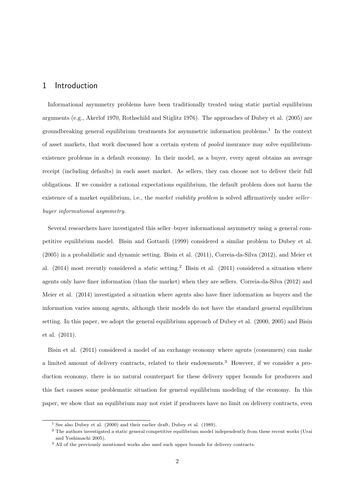## 1 Introduction

Informational asymmetry problems have been traditionally treated using static partial equilibrium arguments (e.g., Akerlof 1970, Rothschild and Stiglitz 1976). The approaches of Dubey et al. (2005) are groundbreaking general equilibrium treatments for asymmetric information problems.<sup>1</sup> In the context of asset markets, that work discussed how a certain system of *pooled* insurance may solve equilibriumexistence problems in a default economy. In their model, as a buyer, every agent obtains an average receipt (including defaults) in each asset market. As sellers, they can choose not to deliver their full obligations. If we consider a rational expectations equilibrium, the default problem does not harm the existence of a market equilibrium, i.e., the *market viability problem* is solved affirmatively under *seller– buyer informational asymmetry*.

Several researchers have investigated this seller–buyer informational asymmetry using a general competitive equilibrium model. Bisin and Gottardi (1999) considered a similar problem to Dubey et al. (2005) in a probabilistic and dynamic setting. Bisin et al. (2011), Correia-da-Silva (2012), and Meier et al. (2014) most recently considered a *static* setting.<sup>2</sup> Bisin et al. (2011) considered a situation where agents only have finer information (than the market) when they are sellers. Correia-da-Silva (2012) and Meier et al. (2014) investigated a situation where agents also have finer information as buyers and the information varies among agents, although their models do not have the standard general equilibrium setting. In this paper, we adopt the general equilibrium approach of Dubey et al. (2000, 2005) and Bisin et al. (2011).

Bisin et al. (2011) considered a model of an exchange economy where agents (consumers) can make a limited amount of delivery contracts, related to their endowments.<sup>3</sup> However, if we consider a production economy, there is no natural counterpart for these delivery upper bounds for producers and this fact causes some problematic situation for general equilibrium modeling of the economy. In this paper, we show that an equilibrium may not exist if producers have no limit on delivery contracts, even

<sup>&</sup>lt;sup>1</sup> See also Dubey et al.  $(2000)$  and their earlier draft, Dubey et al.  $(1989)$ .

<sup>&</sup>lt;sup>2</sup> The authors investigated a static general competitive equilibrium model independently from these recent works (Urai and Yoshimachi 2005).

<sup>3</sup> All of the previously mentioned works also used such upper bounds for delivery contracts.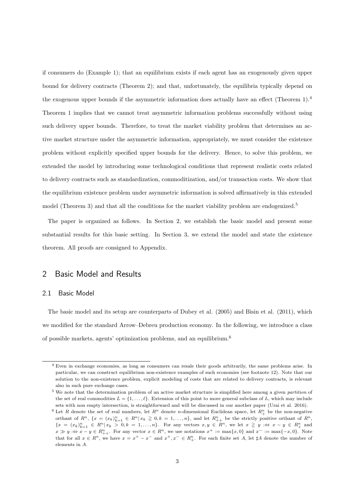if consumers do (Example 1); that an equilibrium exists if each agent has an exogenously given upper bound for delivery contracts (Theorem 2); and that, unfortunately, the equilibria typically depend on the exogenous upper bounds if the asymmetric information does actually have an effect (Theorem 1).<sup>4</sup> Theorem 1 implies that we cannot treat asymmetric information problems successfully without using such delivery upper bounds. Therefore, to treat the market viability problem that determines an active market structure under the asymmetric information, appropriately, we must consider the existence problem without explicitly specified upper bounds for the delivery. Hence, to solve this problem, we extended the model by introducing some technological conditions that represent realistic costs related to delivery contracts such as standardization, commoditization, and/or transaction costs. We show that the equilibrium existence problem under asymmetric information is solved affirmatively in this extended model (Theorem 3) and that all the conditions for the market viability problem are endogenized.<sup>5</sup>

The paper is organized as follows. In Section 2, we establish the basic model and present some substantial results for this basic setting. In Section 3, we extend the model and state the existence theorem. All proofs are consigned to Appendix.

## 2 Basic Model and Results

#### 2.1 Basic Model

The basic model and its setup are counterparts of Dubey et al. (2005) and Bisin et al. (2011), which we modified for the standard Arrow–Debreu production economy. In the following, we introduce a class of possible markets, agents' optimization problems, and an equilibrium.<sup>6</sup>

<sup>4</sup> Even in exchange economies, as long as consumers can resale their goods arbitrarily, the same problems arise. In particular, we can construct equilibrium non-existence examples of such economies (see footnote 12). Note that our solution to the non-existence problem, explicit modeling of costs that are related to delivery contracts, is relevant also in such pure exchange cases.

<sup>5</sup> We note that the determination problem of an active market structure is simplified here among a given *partition* of the set of real commodities  $L = \{1, \ldots, \ell\}$ . Extension of this point to more general subclass of L, which may include sets with non empty intersection, is straightforward and will be discussed in our another paper (Urai et al. 2016).

<sup>&</sup>lt;sup>6</sup> Let *R* denote the set of real numbers, let  $R^n$  denote *n*-dimensional Euclidean space, let  $R^n_+$  be the non-negative orthant of  $R^n$ ,  $\{x = (x_k)_{k=1}^n \in R^n | x_k \geq 0, k = 1, \ldots, n\}$ , and let  $R_{++}^n$  be the strictly positive orthant of  $R^n$ ,  $\{x = (x_k)_{k=1}^n \in R^n | x_k > 0, k = 1,...,n\}$ . For any vectors  $x, y \in R^n$ , we let  $x \geq y \Rightarrow x - y \in R_+^n$  and  $x \gg y \gg x - y \in R_{++}^n$ . For any vector  $x \in R^n$ , we use notations  $x^+ := \max\{x, 0\}$  and  $x^- := \max\{-x, 0\}$ . Note that for all  $x \in R^n$ , we have  $x = x^+ - x^-$  and  $x^+, x^- \in R^n_+$ . For each finite set A, let  $\sharp A$  denote the number of elements in *A*.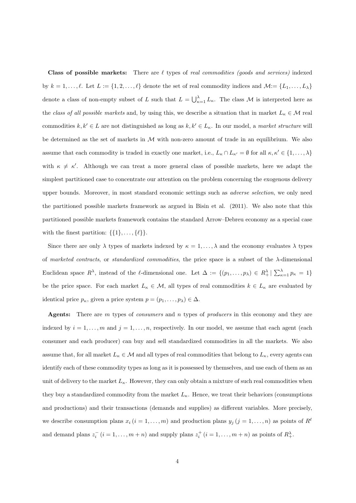**Class of possible markets:** There are *ℓ* types of *real commodities (goods and services)* indexed by  $k = 1, \ldots, \ell$ . Let  $L := \{1, 2, \ldots, \ell\}$  denote the set of real commodity indices and  $\mathcal{M} := \{L_1, \ldots, L_\lambda\}$ denote a class of non-empty subset of *L* such that  $L = \bigcup_{\kappa=1}^{\lambda} L_{\kappa}$ . The class *M* is interpreted here as the *class of all possible markets* and, by using this, we describe a situation that in market  $L_k \in \mathcal{M}$  real commodities  $k, k' \in L$  are not distinguished as long as  $k, k' \in L_{\kappa}$ . In our model, a *market structure* will be determined as the set of markets in *M* with non-zero amount of trade in an equilibrium. We also assume that each commodity is traded in exactly one market, i.e.,  $L_{\kappa} \cap L_{\kappa'} = \emptyset$  for all  $\kappa, \kappa' \in \{1, \ldots, \lambda\}$ with  $\kappa \neq \kappa'$ . Although we can treat a more general class of possible markets, here we adapt the simplest partitioned case to concentrate our attention on the problem concerning the exogenous delivery upper bounds. Moreover, in most standard economic settings such as *adverse selection*, we only need the partitioned possible markets framework as argued in Bisin et al. (2011). We also note that this partitioned possible markets framework contains the standard Arrow–Debreu economy as a special case with the finest partition:  $\{\{1\}, \ldots, \{\ell\}\}.$ 

Since there are only  $\lambda$  types of markets indexed by  $\kappa = 1, \dots, \lambda$  and the economy evaluates  $\lambda$  types of *marketed contracts*, or *standardized commodities*, the price space is a subset of the *λ*-dimensional Euclidean space  $R^{\lambda}$ , instead of the *ℓ*-dimensional one. Let  $\Delta := \{(p_1, \ldots, p_{\lambda}) \in R^{\lambda}_+ | \sum_{\kappa=1}^{\lambda} p_{\kappa} = 1 \}$ be the price space. For each market  $L_{\kappa} \in \mathcal{M}$ , all types of real commodities  $k \in L_{\kappa}$  are evaluated by identical price  $p_{\kappa}$ , given a price system  $p = (p_1, \ldots, p_{\lambda}) \in \Delta$ .

**Agents:** There are *m* types of *consumers* and *n* types of *producers* in this economy and they are indexed by  $i = 1, \ldots, m$  and  $j = 1, \ldots, n$ , respectively. In our model, we assume that each agent (each consumer and each producer) can buy and sell standardized commodities in all the markets. We also assume that, for all market  $L_{\kappa} \in \mathcal{M}$  and all types of real commodities that belong to  $L_{\kappa}$ , every agents can identify each of these commodity types as long as it is possessed by themselves, and use each of them as an unit of delivery to the market  $L_k$ . However, they can only obtain a mixture of such real commodities when they buy a standardized commodity from the market  $L_{\kappa}$ . Hence, we treat their behaviors (consumptions and productions) and their transactions (demands and supplies) as different variables. More precisely, we describe consumption plans  $x_i$  ( $i = 1, ..., m$ ) and production plans  $y_j$  ( $j = 1, ..., n$ ) as points of  $R^{\ell}$ and demand plans  $z_i^-(i=1,\ldots,m+n)$  and supply plans  $z_i^+(i=1,\ldots,m+n)$  as points of  $R_+^{\lambda}$ .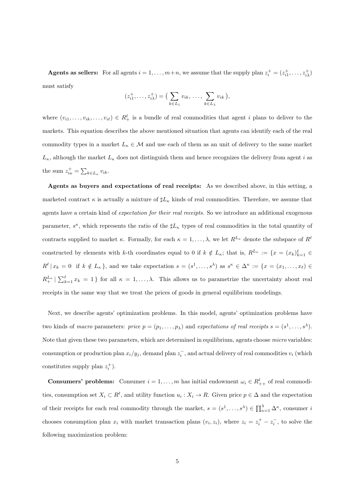**Agents as sellers:** For all agents  $i = 1, ..., m+n$ , we assume that the supply plan  $z_i^+ = (z_{i1}^+, ..., z_{i\lambda}^+)$ must satisfy

$$
(z_{i1}^+,\ldots,z_{i\lambda}^+) = \Big(\sum_{k\in L_1} v_{ik},\,\ldots,\,\sum_{k\in L_\lambda} v_{ik}\Big),
$$

where  $(v_{i1}, \ldots, v_{ik}, \ldots, v_{i\ell}) \in R_+^{\ell}$  is a bundle of real commodities that agent *i* plans to deliver to the markets. This equation describes the above mentioned situation that agents can identify each of the real commodity types in a market  $L_k \in \mathcal{M}$  and use each of them as an unit of delivery to the same market  $L_{\kappa}$ , although the market  $L_{\kappa}$  does not distinguish them and hence recognizes the delivery from agent *i* as the sum  $z_{ik}^+ = \sum_{k \in L_{\kappa}} v_{ik}$ .

**Agents as buyers and expectations of real receipts:** As we described above, in this setting, a marketed contract  $\kappa$  is actually a mixture of  $\sharp L_{\kappa}$  kinds of real commodities. Therefore, we assume that agents have a certain kind of *expectation for their real receipts*. So we introduce an additional exogenous parameter,  $s^{\kappa}$ , which represents the ratio of the  $\sharp L_{\kappa}$  types of real commodities in the total quantity of contracts supplied to market *κ*. Formally, for each  $\kappa = 1, \ldots, \lambda$ , we let  $R^{L_{\kappa}}$  denote the subspace of  $R^{\ell}$ constructed by elements with *k*-th coordinates equal to 0 if  $k \notin L_{\kappa}$ ; that is,  $R^{L_{\kappa}} := \{x = (x_k)_{k=1}^{\ell} \in$  $R^{\ell} | x_k = 0$  if  $k \notin L_{\kappa}$ , and we take expectation  $s = (s^1, \ldots, s^{\lambda})$  as  $s^{\kappa} \in \Delta^{\kappa} := \{x = (x_1, \ldots, x_{\ell}) \in$  $R_+^{L_\kappa} \mid \sum_{k=1}^{\ell} x_k = 1$  for all  $\kappa = 1, \ldots, \lambda$ . This allows us to parametrize the uncertainty about real receipts in the same way that we treat the prices of goods in general equilibrium modelings.

Next, we describe agents' optimization problems. In this model, agents' optimization problems have two kinds of *macro* parameters: *price*  $p = (p_1, \ldots, p_\lambda)$  and *expectations of real receipts*  $s = (s^1, \ldots, s^\lambda)$ . Note that given these two parameters, which are determined in equilibrium, agents choose *micro* variables: consumption or production plan  $x_i/y_j$ , demand plan  $z_i^-$ , and actual delivery of real commodities  $v_i$  (which constitutes supply plan  $z_i^+$ ).

**Consumers' problems:** Consumer  $i = 1, ..., m$  has initial endowment  $\omega_i \in R_{++}^{\ell}$  of real commodities, consumption set  $X_i \subset R^{\ell}$ , and utility function  $u_i: X_i \to R$ . Given price  $p \in \Delta$  and the expectation of their receipts for each real commodity through the market,  $s = (s^1, \ldots, s^{\lambda}) \in \prod_{\kappa=1}^{\lambda} \Delta^{\kappa}$ , consumer *i* chooses consumption plan  $x_i$  with market transaction plans  $(v_i, z_i)$ , where  $z_i = z_i^+ - z_i^-$ , to solve the following maximization problem: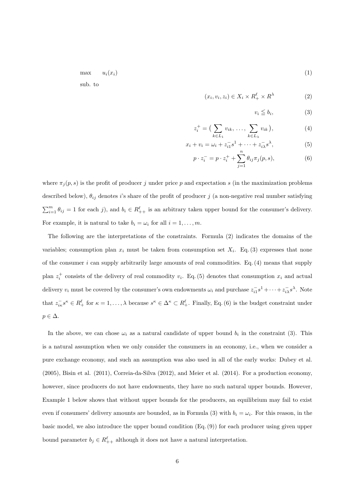$\max \quad u_i(x_i)$  (1) sub. to

$$
(x_i, v_i, z_i) \in X_i \times R_+^{\ell} \times R^{\lambda}
$$
 (2)

$$
v_i \leqq b_i,\tag{3}
$$

$$
z_i^+ = \left(\sum_{k \in L_1} v_{ik}, \dots, \sum_{k \in L_\lambda} v_{ik}\right),\tag{4}
$$

$$
x_i + v_i = \omega_i + z_{i1}^{-} s^1 + \dots + z_{i\lambda}^{-} s^{\lambda},
$$
 (5)

$$
p \cdot z_i^- = p \cdot z_i^+ + \sum_{j=1}^n \theta_{ij} \pi_j(p, s), \tag{6}
$$

where  $\pi_j(p, s)$  is the profit of producer *j* under price *p* and expectation *s* (in the maximization problems described below),  $\theta_{ij}$  denotes *i*'s share of the profit of producer *j* (a non-negative real number satisfying  $\sum_{i=1}^{m} \theta_{ij} = 1$  for each *j*), and  $b_i \in R^{\ell}_{++}$  is an arbitrary taken upper bound for the consumer's delivery. For example, it is natural to take  $b_i = \omega_i$  for all  $i = 1, \ldots, m$ .

The following are the interpretations of the constraints. Formula (2) indicates the domains of the variables; consumption plan  $x_i$  must be taken from consumption set  $X_i$ . Eq. (3) expresses that none of the consumer *i* can supply arbitrarily large amounts of real commodities. Eq. (4) means that supply plan  $z_i^+$  consists of the delivery of real commodity  $v_i$ . Eq. (5) denotes that consumption  $x_i$  and actual delivery  $v_i$  must be covered by the consumer's own endowments  $\omega_i$  and purchase  $z_{i1}^-s^1 + \cdots + z_{i\lambda}^-s^{\lambda}$ . Note that  $z_{ik}^-s^{\kappa} \in R_+^{\ell}$  for  $\kappa = 1, \ldots, \lambda$  because  $s^{\kappa} \in \Delta^{\kappa} \subset R_+^{\ell}$ . Finally, Eq. (6) is the budget constraint under *p ∈* ∆.

In the above, we can chose  $\omega_i$  as a natural candidate of upper bound  $b_i$  in the constraint (3). This is a natural assumption when we only consider the consumers in an economy, i.e., when we consider a pure exchange economy, and such an assumption was also used in all of the early works: Dubey et al. (2005), Bisin et al. (2011), Correia-da-Silva (2012), and Meier et al. (2014). For a production economy, however, since producers do not have endowments, they have no such natural upper bounds. However, Example 1 below shows that without upper bounds for the producers, an equilibrium may fail to exist even if consumers' delivery amounts are bounded, as in Formula (3) with  $b_i = \omega_i$ . For this reason, in the basic model, we also introduce the upper bound condition (Eq. (9)) for each producer using given upper bound parameter  $b_j \in R_{++}^{\ell}$  although it does not have a natural interpretation.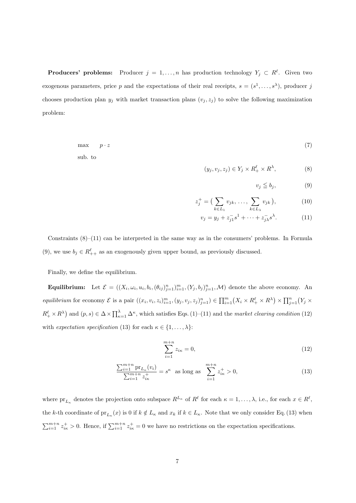**Producers' problems:** Producer  $j = 1, ..., n$  has production technology  $Y_j \subset R^{\ell}$ . Given two exogenous parameters, price p and the expectations of their real receipts,  $s = (s^1, \ldots, s^{\lambda})$ , producer j chooses production plan  $y_j$  with market transaction plans  $(v_j, z_j)$  to solve the following maximization problem:

$$
\max \quad p \cdot z \tag{7}
$$
   
sub. to

$$
(y_j, v_j, z_j) \in Y_j \times R_+^{\ell} \times R^{\lambda}, \tag{8}
$$

$$
v_j \leqq b_j,\tag{9}
$$

$$
z_j^+ = \big(\sum_{k \in L_1} v_{jk}, \dots, \sum_{k \in L_\lambda} v_{jk}\big), \tag{10}
$$

$$
v_j = y_j + z_{j1}^{-} s^1 + \dots + z_{j\lambda}^{-} s^{\lambda}.
$$
 (11)

Constraints  $(8)$ – $(11)$  can be interpreted in the same way as in the consumers' problems. In Formula (9), we use  $b_j \in R^{\ell}_{++}$  as an exogenously given upper bound, as previously discussed.

Finally, we define the equilibrium.

**Equilibrium:** Let  $\mathcal{E} = ((X_i, \omega_i, u_i, b_i, (\theta_{ij})_{j=1}^n)_{i=1}^m, (Y_j, b_j)_{j=1}^n, \mathcal{M})$  denote the above economy. An equilibrium for economy  $\mathcal E$  is a pair  $((x_i, v_i, z_i)_{i=1}^m, (y_j, v_j, z_j)_{j=1}^n) \in \prod_{i=1}^m (X_i \times R_+^{\ell} \times R^{\lambda}) \times \prod_{j=1}^n (Y_j \times R_+^{\ell} \times R_+)$  $R_+^{\ell} \times R^{\lambda}$  and  $(p, s) \in \Delta \times \prod_{\kappa=1}^{\lambda} \Delta^{\kappa}$ , which satisfies Eqs. (1)–(11) and the *market clearing condition* (12) with *expectation specification* (13) for each  $\kappa \in \{1, \ldots, \lambda\}$ :

$$
\sum_{i=1}^{m+n} z_{i\kappa} = 0,\t\t(12)
$$

$$
\frac{\sum_{i=1}^{m+n} \text{pr}_{L_{\kappa}}(v_i)}{\sum_{i=1}^{m+n} z_{i\kappa}^+} = s^{\kappa} \text{ as long as } \sum_{i=1}^{m+n} z_{i\kappa}^+ > 0,
$$
\n(13)

where  $pr_{L_{\kappa}}$  denotes the projection onto subspace  $R^{L_{\kappa}}$  of  $R^{\ell}$  for each  $\kappa = 1, \ldots, \lambda$ , i.e., for each  $x \in R^{\ell}$ , the *k*-th coordinate of  $pr_{L_{\kappa}}(x)$  is 0 if  $k \notin L_{\kappa}$  and  $x_k$  if  $k \in L_{\kappa}$ . Note that we only consider Eq. (13) when  $\sum_{i=1}^{m+n} z_{ik}^+ > 0$ . Hence, if  $\sum_{i=1}^{m+n} z_{ik}^+ = 0$  we have no restrictions on the expectation specifications.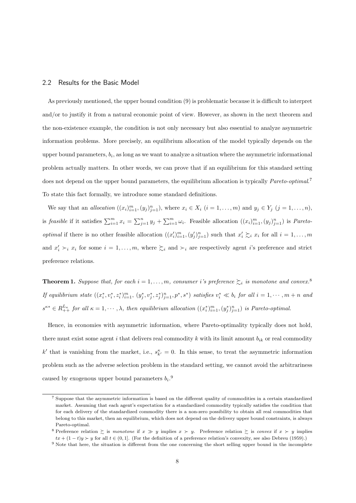#### 2.2 Results for the Basic Model

As previously mentioned, the upper bound condition (9) is problematic because it is difficult to interpret and/or to justify it from a natural economic point of view. However, as shown in the next theorem and the non-existence example, the condition is not only necessary but also essential to analyze asymmetric information problems. More precisely, an equilibrium allocation of the model typically depends on the upper bound parameters,  $b_i$ , as long as we want to analyze a situation where the asymmetric informational problem actually matters. In other words, we can prove that if an equilibrium for this standard setting does not depend on the upper bound parameters, the equilibrium allocation is typically *Pareto-optimal*. 7 To state this fact formally, we introduce some standard definitions.

We say that an *allocation*  $((x_i)_{i=1}^m, (y_j)_{j=1}^n)$ , where  $x_i \in X_i$   $(i = 1, ..., m)$  and  $y_j \in Y_j$   $(j = 1, ..., n)$ , is *feasible* if it satisfies  $\sum_{i=1}^{m} x_i = \sum_{j=1}^{n} y_j + \sum_{i=1}^{m} \omega_i$ . Feasible allocation  $((x_i)_{i=1}^{m}, (y_j)_{j=1}^{n})$  is *Paretooptimal* if there is no other feasible allocation  $((x_i')_{i=1}^m, (y_j')_{j=1}^n)$  such that  $x_i' \succeq_i x_i$  for all  $i = 1, ..., m$ and  $x'_i \succ_i x_i$  for some  $i = 1, \ldots, m$ , where  $\succsim_i$  and  $\succ_i$  are respectively agent *i*'s preference and strict preference relations.

**Theorem 1.** *Suppose that, for each*  $i = 1, \ldots, m$ *, consumer i*'s preference  $\succeq_i$  *is monotone and convex.*<sup>8</sup> If equilibrium state  $((x_i^*, v_i^*, z_i^*)_{i=1}^m, (y_j^*, v_j^*, z_j^*)_{j=1}^n, p^*, s^*)$  satisfies  $v_i^* \ll b_i$  for all  $i = 1, \dots, m+n$  and  $s^{\kappa*} \in R_{++}^{L_{\kappa}}$  for all  $\kappa = 1, \dots, \lambda$ , then equilibrium allocation  $((x_i^*)_{i=1}^m, (y_j^*)_{j=1}^n)$  is Pareto-optimal.

Hence, in economies with asymmetric information, where Pareto-optimality typically does not hold, there must exist some agent *i* that delivers real commodity *k* with its limit amount *bik* or real commodity  $k'$  that is vanishing from the market, i.e.,  $s_{k'}^{\kappa} = 0$ . In this sense, to treat the asymmetric information problem such as the adverse selection problem in the standard setting, we cannot avoid the arbitrariness caused by exogenous upper bound parameters  $b_i$ <sup>0</sup>

<sup>7</sup> Suppose that the asymmetric information is based on the different quality of commodities in a certain standardized market. Assuming that each agent's expectation for a standardized commodity typically satisfies the condition that for each delivery of the standardized commodity there is a non-zero possibility to obtain all real commodities that belong to this market, then an equilibrium, which does not depend on the delivery upper bound constraints, is always Pareto-optimal.

<sup>8</sup> Preference relation ≿ is *monotone* if *x ≫ y* implies *x ≻ y*. Preference relation ≿ is *convex* if *x ≻ y* implies  $tx + (1 - t)y \succ y$  for all  $t \in (0, 1]$ . (For the definition of a preference relation's convexity, see also Debreu (1959).)

<sup>&</sup>lt;sup>9</sup> Note that here, the situation is different from the one concerning the short selling upper bound in the incomplete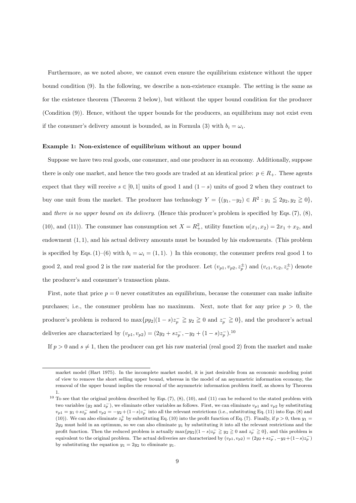Furthermore, as we noted above, we cannot even ensure the equilibrium existence without the upper bound condition (9). In the following, we describe a non-existence example. The setting is the same as for the existence theorem (Theorem 2 below), but without the upper bound condition for the producer (Condition (9)). Hence, without the upper bounds for the producers, an equilibrium may not exist even if the consumer's delivery amount is bounded, as in Formula (3) with  $b_i = \omega_i$ .

#### **Example 1: Non-existence of equilibrium without an upper bound**

Suppose we have two real goods, one consumer, and one producer in an economy. Additionally, suppose there is only one market, and hence the two goods are traded at an identical price:  $p \in R_+$ . These agents expect that they will receive  $s \in [0,1]$  units of good 1 and  $(1-s)$  units of good 2 when they contract to buy one unit from the market. The producer has technology  $Y = \{(y_1, -y_2) \in R^2 : y_1 \leq 2y_2, y_2 \geq 0\}$ , and *there is no upper bound on its delivery*. (Hence this producer's problem is specified by Eqs. (7), (8), (10), and (11)). The consumer has consumption set  $X = R_+^2$ , utility function  $u(x_1, x_2) = 2x_1 + x_2$ , and endowment (1*,* 1), and his actual delivery amounts must be bounded by his endowments. (This problem is specified by Eqs. (1)–(6) with  $b_i = \omega_i = (1, 1)$ . ) In this economy, the consumer prefers real good 1 to good 2, and real good 2 is the raw material for the producer. Let  $(v_{p1}, v_{p2}, z_p^{\pm})$  and  $(v_{c1}, v_{c2}, z_c^{\pm})$  denote the producer's and consumer's transaction plans.

First, note that price  $p = 0$  never constitutes an equilibrium, because the consumer can make infinite purchases; i.e., the consumer problem has no maximum. Next, note that for any price  $p > 0$ , the producer's problem is reduced to  $\max\{py_2|(1-s)z_p^-\geq y_2\geq 0$  and  $z_p^-\geq 0\}$ , and the producer's actual deliveries are characterized by  $(v_{p1}, v_{p2}) = (2y_2 + sz_p^-, -y_2 + (1-s)z_p^-, 10$ 

If  $p > 0$  and  $s \neq 1$ , then the producer can get his raw material (real good 2) from the market and make

market model (Hart 1975). In the incomplete market model, it is just desirable from an economic modeling point of view to remove the short selling upper bound, whereas in the model of an asymmetric information economy, the removal of the upper bound implies the removal of the asymmetric information problem itself, as shown by Theorem 1.

 $10$  To see that the original problem described by Eqs. (7), (8), (10), and (11) can be reduced to the stated problem with two variables ( $y_2$  and  $z_p^-$ ), we eliminate other variables as follows. First, we can eliminate  $v_{p1}$  and  $v_{p2}$  by substituting  $v_{p1} = y_1 + sz_p^-$  and  $v_{p2} = -y_2 + (1-s)z_p^-$  into all the relevant restrictions (i.e., substituting Eq. (11) into Eqs. (8) and (10)). We can also eliminate  $z_p^+$  by substituting Eq. (10) into the profit function of Eq. (7). Finally, if  $p > 0$ , then  $y_1 =$ 2*y*<sup>2</sup> must hold in an optimum, so we can also eliminate *y*<sup>1</sup> by substituting it into all the relevant restrictions and the profit function. Then the reduced problem is actually  $\max\{py_2|(1-s)z_p^-\geq y_2\geq 0$  and  $z_p^-\geq 0$ , and this problem is equivalent to the original problem. The actual deliveries are characterized by  $(v_{p1}, v_{p2}) = (2y_2 + sz_p^-, -y_2 + (1-s)z_p^-)$ by substituting the equation  $y_1 = 2y_2$  to eliminate  $y_1$ .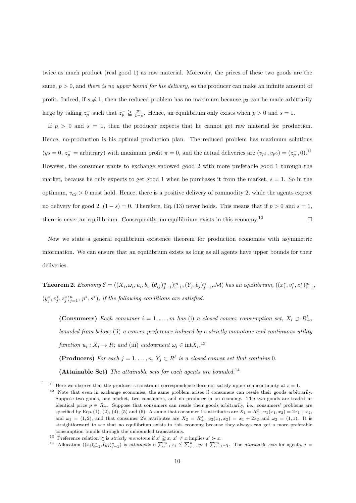twice as much product (real good 1) as raw material. Moreover, the prices of these two goods are the same, *p >* 0, and *there is no upper bound for his delivery*, so the producer can make an infinite amount of profit. Indeed, if  $s \neq 1$ , then the reduced problem has no maximum because  $y_2$  can be made arbitrarily large by taking  $z_p^-$  such that  $z_p^- \geq \frac{y_2}{1-s}$ . Hence, an equilibrium only exists when  $p > 0$  and  $s = 1$ .

If  $p > 0$  and  $s = 1$ , then the producer expects that he cannot get raw material for production. Hence, no-production is his optimal production plan. The reduced problem has maximum solutions  $(y_2 = 0, z_p^- =$  arbitrary) with maximum profit  $\pi = 0$ , and the actual deliveries are  $(v_{p1}, v_{p2}) = (z_p^-, 0)^{11}$ However, the consumer wants to exchange endowed good 2 with more preferable good 1 through the market, because he only expects to get good 1 when he purchases it from the market,  $s = 1$ . So in the optimum,  $v_{c2} > 0$  must hold. Hence, there is a positive delivery of commodity 2, while the agents expect no delivery for good 2,  $(1-s) = 0$ . Therefore, Eq. (13) never holds. This means that if  $p > 0$  and  $s = 1$ , there is never an equilibrium. Consequently, no equilibrium exists in this economy.<sup>12</sup> □

Now we state a general equilibrium existence theorem for production economies with asymmetric information. We can ensure that an equilibrium exists as long as all agents have upper bounds for their deliveries.

**Theorem 2.** Economy  $\mathcal{E} = ((X_i, \omega_i, u_i, b_i, (\theta_{ij})_{j=1}^n)_{i=1}^m, (Y_j, b_j)_{j=1}^n, \mathcal{M})$  has an equilibrium,  $((x_i^*, v_i^*, z_i^*)_{i=1}^m,$  $(y_j^*, v_j^*, z_j^*)_{j=1}^n$ ,  $p^*, s^*$ ), if the following conditions are satisfied:

**(Consumers)** Each consumer  $i = 1, \ldots, m$  has (i) a closed convex consumption set,  $X_i \supset R_+^{\ell}$ , *bounded from below;* (ii) *a convex preference induced by a strictly monotone and continuous utility function*  $u_i: X_i \to R$ *;* and (iii) endowment  $\omega_i \in \text{int}X_i$ .<sup>13</sup> **(Producers)** For each  $j = 1, \ldots, n$ ,  $Y_j \subset R^{\ell}$  is a closed convex set that contains 0.

**(Attainable Set)** *The attainable sets for each agents are bounded.*<sup>14</sup>

<sup>&</sup>lt;sup>11</sup> Here we observe that the producer's constraint correspondence does not satisfy upper semicontinuity at  $s = 1$ .

<sup>12</sup> Note that even in exchange economies, the same problem arises if consumers can resale their goods arbitrarily. Suppose two goods, one market, two consumers, and no producer in an economy. The two goods are traded at identical price  $p \in R_+$ . Suppose that consumers can resale their goods arbitrarily, i.e., consumers' problems are specified by Eqs. (1), (2), (4), (5) and (6). Assume that consumer 1's attributes are  $X_1 = R_+^2$ ,  $u_1(x_1, x_2) = 2x_1 + x_2$ , and  $\omega_1 = (1, 2)$ , and that consumer 2's attributes are  $X_2 = R_+^2$ ,  $u_2(x_1, x_2) = x_1 + 2x_2$  and  $\omega_2 = (1, 1)$ . It is straightforward to see that no equilibrium exists in this economy because they always can get a more preferable consumption bundle through the unbounded transactions.

<sup>13</sup> Preference relation  $\sum$  is *strictly monotone* if  $x' \geq x$ ,  $x' \neq x$  implies  $x' \succ x$ .

<sup>&</sup>lt;sup>14</sup> Allocation  $((x_i)_{i=1}^m, (y_j)_{j=1}^n)$  is attainable if  $\sum_{i=1}^m x_i \leq \sum_{j=1}^n y_j + \sum_{i=1}^m \omega_i$ . The attainable sets for agents,  $i =$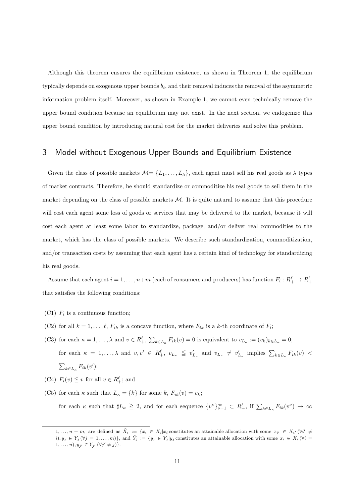Although this theorem ensures the equilibrium existence, as shown in Theorem 1, the equilibrium typically depends on exogenous upper bounds *b<sup>i</sup>* , and their removal induces the removal of the asymmetric information problem itself. Moreover, as shown in Example 1, we cannot even technically remove the upper bound condition because an equilibrium may not exist. In the next section, we endogenize this upper bound condition by introducing natural cost for the market deliveries and solve this problem.

## 3 Model without Exogenous Upper Bounds and Equilibrium Existence

Given the class of possible markets  $\mathcal{M} = \{L_1, \ldots, L_\lambda\}$ , each agent must sell his real goods as  $\lambda$  types of market contracts. Therefore, he should standardize or commoditize his real goods to sell them in the market depending on the class of possible markets *M*. It is quite natural to assume that this procedure will cost each agent some loss of goods or services that may be delivered to the market, because it will cost each agent at least some labor to standardize, package, and/or deliver real commodities to the market, which has the class of possible markets. We describe such standardization, commoditization, and/or transaction costs by assuming that each agent has a certain kind of technology for standardizing his real goods.

Assume that each agent  $i = 1, ..., n+m$  (each of consumers and producers) has function  $F_i: R^{\ell}_+ \to R^{\ell}_+$ that satisfies the following conditions:

- (C1)  $F_i$  is a continuous function;
- (C2) for all  $k = 1, \ldots, \ell, F_{ik}$  is a concave function, where  $F_{ik}$  is a k-th coordinate of  $F_i$ ;
- (C3) for each  $\kappa = 1, ..., \lambda$  and  $v \in R_+^{\ell}, \sum_{k \in L_{\kappa}} F_{ik}(v) = 0$  is equivalent to  $v_{L_{\kappa}} := (v_k)_{k \in L_{\kappa}} = 0$ ; for each  $\kappa = 1, ..., \lambda$  and  $v, v' \in R_+^{\ell}, v_{L_{\kappa}} \leq v'_{L_{\kappa}}$  and  $v_{L_{\kappa}} \neq v'_{L_{\kappa}}$  implies  $\sum_{k \in L_{\kappa}} F_{ik}(v)$  $\sum_{k\in L_{\kappa}} F_{ik}(v')$ ;
- (C4)  $F_i(v) \leq v$  for all  $v \in R_+^{\ell}$ ; and
- (C5) for each  $\kappa$  such that  $L_{\kappa} = \{k\}$  for some  $k$ ,  $F_{ik}(v) = v_k$ ; for each  $\kappa$  such that  $\sharp L_{\kappa} \geq 2$ , and for each sequence  $\{v\}\*_{\nu=1}^{\infty} \subset R_{+}^{\ell}$ , if  $\sum_{k \in L_{\kappa}} F_{ik}(v^{\nu}) \to \infty$

 $1,\ldots,n+m$ , are defined as  $\tilde{X}_i := \{x_i \in X_i | x_i$  constitutes an attainable allocation with some  $x_{i'} \in X_{i'}$   $(\forall i' \neq i')$  $(i, y_j \in Y_j (\forall j = 1, ..., m)$ , and  $\tilde{Y}_j := \{y_j \in Y_j | y_j \text{ constitutes an attainable allocation with some } x_i \in X_i (\forall i = j \text{ and } y_j \in Y_j | y_j \text{ constitute an attainable allocation with some } x_i \in X_i (\forall i = j \text{ and } y_j \in Y_j | y_j \text{ constitute an attainable allocation with some } x_i \in X_i (\forall i = j \text{ and } y_j \in Y_j | y_j \text{ constitute an attainable allocation with some } x_i \in X_i (\forall i = j \text{ and } y_j \in Y_j | y_j \text{ constitute an attainable allocation with some } x_i \in X_i (\forall i = j \text{ and } y_j \in$  $1, \ldots, n), y_{j'} \in Y_{j'} \ (\forall j' \neq j)\}.$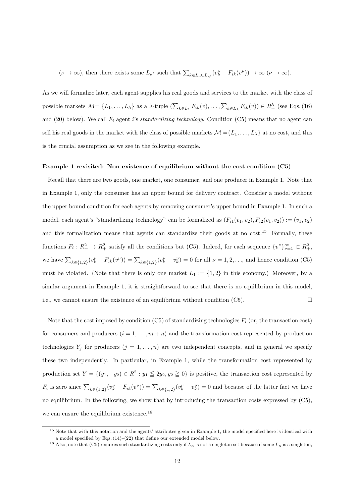$(\nu \to \infty)$ , then there exists some  $L_{\kappa'}$  such that  $\sum_{k \in L_{\kappa} \cup L_{\kappa'}} (v_k^{\nu} - F_{ik}(v^{\nu})) \to \infty \ (\nu \to \infty)$ .

As we will formalize later, each agent supplies his real goods and services to the market with the class of possible markets  $\mathcal{M} = \{L_1, \ldots, L_\lambda\}$  as a  $\lambda$ -tuple  $(\sum_{k \in L_1} F_{ik}(v), \ldots, \sum_{k \in L_\lambda} F_{ik}(v)) \in R^\lambda_+$  (see Eqs. (16) and (20) below). We call *F<sup>i</sup>* agent *i*'s *standardizing technology*. Condition (C5) means that no agent can sell his real goods in the market with the class of possible markets  $\mathcal{M} = \{L_1, \ldots, L_\lambda\}$  at no cost, and this is the crucial assumption as we see in the following example.

#### **Example 1 revisited: Non-existence of equilibrium without the cost condition (C5)**

Recall that there are two goods, one market, one consumer, and one producer in Example 1. Note that in Example 1, only the consumer has an upper bound for delivery contract. Consider a model without the upper bound condition for each agents by removing consumer's upper bound in Example 1. In such a model, each agent's "standardizing technology" can be formalized as  $(F_{i1}(v_1, v_2), F_{i2}(v_1, v_2)) := (v_1, v_2)$ and this formalization means that agents can standardize their goods at no cost.<sup>15</sup> Formally, these functions  $F_i: R_+^2 \to R_+^2$  satisfy all the conditions but (C5). Indeed, for each sequence  $\{v^{\nu}\}_{\nu=1}^{\infty} \subset R_+^2$ , we have  $\sum_{k\in\{1,2\}} (v_k^{\nu} - F_{ik}(v^{\nu})) = \sum_{k\in\{1,2\}} (v_k^{\nu} - v_k^{\nu}) = 0$  for all  $\nu = 1, 2, ...,$  and hence condition (C5) must be violated. (Note that there is only one market  $L_1 := \{1, 2\}$  in this economy.) Moreover, by a similar argument in Example 1, it is straightforward to see that there is no equilibrium in this model, i.e., we cannot ensure the existence of an equilibrium without condition  $(C5)$ .

Note that the cost imposed by condition  $(C5)$  of standardizing technologies  $F_i$  (or, the transaction cost) for consumers and producers  $(i = 1, \ldots, m + n)$  and the transformation cost represented by production technologies  $Y_j$  for producers  $(j = 1, \ldots, n)$  are two independent concepts, and in general we specify these two independently. In particular, in Example 1, while the transformation cost represented by production set  $Y = \{(y_1, -y_2) \in R^2 : y_1 \leq 2y_2, y_2 \geq 0\}$  is positive, the transaction cost represented by  $F_i$  is zero since  $\sum_{k\in\{1,2\}} (v_k^{\nu} - F_{ik}(v^{\nu})) = \sum_{k\in\{1,2\}} (v_k^{\nu} - v_k^{\nu}) = 0$  and because of the latter fact we have no equilibrium. In the following, we show that by introducing the transaction costs expressed by (C5), we can ensure the equilibrium existence.<sup>16</sup>

<sup>&</sup>lt;sup>15</sup> Note that with this notation and the agents' attributes given in Example 1, the model specified here is identical with a model specified by Eqs. (14)–(22) that define our extended model below.

<sup>&</sup>lt;sup>16</sup> Also, note that (C5) requires such standardizing costs only if  $L_{\kappa}$  is not a singleton set because if some  $L_{\kappa}$  is a singleton,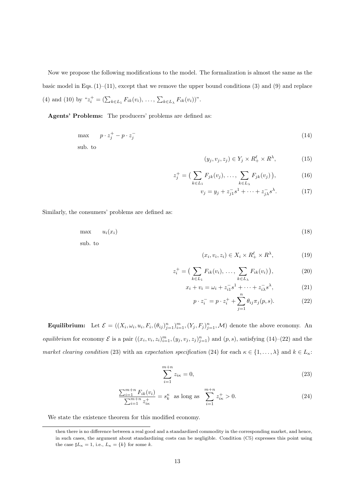Now we propose the following modifications to the model. The formalization is almost the same as the basic model in Eqs.  $(1)$ – $(11)$ , except that we remove the upper bound conditions (3) and (9) and replace  $(4)$  and  $(10)$  by " $z_i^+ = (\sum_{k \in L_1} F_{ik}(v_i), \dots, \sum_{k \in L_\lambda} F_{ik}(v_i))$ ".

**Agents' Problems:** The producers' problems are defined as:

$$
\max \qquad p \cdot z_j^+ - p \cdot z_j^- \tag{14}
$$

sub. to

$$
(y_j, v_j, z_j) \in Y_j \times R_+^{\ell} \times R^{\lambda}, \tag{15}
$$

$$
z_j^+ = \big(\sum_{k \in L_1} F_{jk}(v_j), \dots, \sum_{k \in L_\lambda} F_{jk}(v_j)\big), \tag{16}
$$

$$
v_j = y_j + z_{j1}^{-} s^1 + \dots + z_{j\lambda}^{-} s^{\lambda}.
$$
 (17)

Similarly, the consumers' problems are defined as:

$$
\max \quad u_i(x_i) \tag{18}
$$
\n
$$
\text{sub. to}
$$

$$
(x_i, v_i, z_i) \in X_i \times R_+^{\ell} \times R^{\lambda}, \tag{19}
$$

$$
z_i^+ = \left(\sum_{k \in L_1} F_{ik}(v_i), \dots, \sum_{k \in L_\lambda} F_{ik}(v_i)\right),\tag{20}
$$

$$
x_i + v_i = \omega_i + z_{i1}^{-} s^1 + \dots + z_{i\lambda}^{-} s^{\lambda}, \qquad (21)
$$

$$
p \cdot z_i^- = p \cdot z_i^+ + \sum_{j=1}^n \theta_{ij} \pi_j(p, s). \tag{22}
$$

**Equilibrium:** Let  $\mathcal{E} = ((X_i, \omega_i, u_i, F_i, (\theta_{ij})_{j=1}^n)_{i=1}^m, (Y_j, F_j)_{j=1}^n, \mathcal{M})$  denote the above economy. An equilibrium for economy  $\mathcal E$  is a pair  $((x_i, v_i, z_i)_{i=1}^m, (y_j, v_j, z_j)_{j=1}^n)$  and  $(p, s)$ , satisfying  $(14)$ – $(22)$  and the *market clearing condition* (23) with an *expectation specification* (24) for each  $\kappa \in \{1, \ldots, \lambda\}$  and  $k \in L_{\kappa}$ :

$$
\sum_{i=1}^{m+n} z_{i\kappa} = 0,\t\t(23)
$$

$$
\frac{\sum_{i=1}^{m+n} F_{ik}(v_i)}{\sum_{i=1}^{m+n} z_{ik}^+} = s_k^{\kappa} \text{ as long as } \sum_{i=1}^{m+n} z_{ik}^+ > 0.
$$
 (24)

We state the existence theorem for this modified economy.

then there is no difference between a real good and a standardized commodity in the corresponding market, and hence, in such cases, the argument about standardizing costs can be negligible. Condition (C5) expresses this point using the case  $\sharp L_{\kappa} = 1$ , i.e.,  $L_{\kappa} = \{k\}$  for some *k*.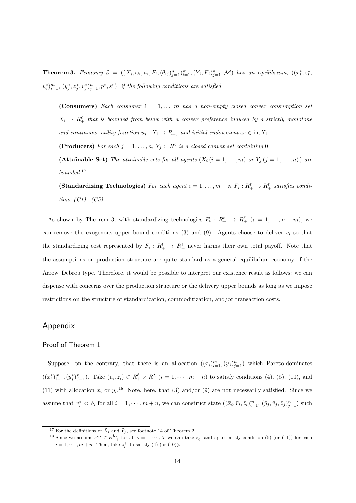**Theorem 3.** Economy  $\mathcal{E} = ((X_i, \omega_i, u_i, F_i, (\theta_{ij})_{j=1}^n)_{i=1}^m, (Y_j, F_j)_{j=1}^n, \mathcal{M})$  has an equilibrium,  $((x_i^*, z_i^*, \theta_{ij}))_{i=1}^n$  $(v_i^*)_{i=1}^m$ ,  $(y_j^*, z_j^*, v_j^*)_{j=1}^n, p^*, s^*$ , if the following conditions are satisfied.

**(Consumers)** *Each consumer i* = 1*, . . . , m has a non-empty closed convex consumption set*  $X_i \supset R_+^{\ell}$  that is bounded from below with a convex preference induced by a strictly monotone *and continuous utility function*  $u_i: X_i \to R_+$ , and initial endowment  $\omega_i \in \text{int}X_i$ .

**(Producers)** For each  $j = 1, \ldots, n$ ,  $Y_j \subset R^{\ell}$  is a closed convex set containing 0.

(Attainable Set) The attainable sets for all agents  $(\tilde{X}_i \ (i=1,\ldots,m) \text{ or } \tilde{Y}_j \ (j=1,\ldots,n))$  are *bounded.*<sup>17</sup>

**(Standardizing Technologies)** For each agent  $i = 1, ..., m + n$   $F_i: R_+^{\ell} \to R_+^{\ell}$  satisfies condi*tions (C1) – (C5).*

As shown by Theorem 3, with standardizing technologies  $F_i: R_+^{\ell} \to R_+^{\ell}$   $(i = 1, ..., n + m)$ , we can remove the exogenous upper bound conditions  $(3)$  and  $(9)$ . Agents choose to deliver  $v_i$  so that the standardizing cost represented by  $F_i: R_+^{\ell} \to R_+^{\ell}$  never harms their own total payoff. Note that the assumptions on production structure are quite standard as a general equilibrium economy of the Arrow–Debreu type. Therefore, it would be possible to interpret our existence result as follows: we can dispense with concerns over the production structure or the delivery upper bounds as long as we impose restrictions on the structure of standardization, commoditization, and/or transaction costs.

## Appendix

### Proof of Theorem 1

Suppose, on the contrary, that there is an allocation  $((x_i)_{i=1}^m, (y_j)_{j=1}^n)$  which Pareto-dominates  $((x_i^*)_{i=1}^m, (y_j^*)_{j=1}^n)$ . Take  $(v_i, z_i) \in R_+^{\ell} \times R^{\lambda}$   $(i = 1, \dots, m+n)$  to satisfy conditions (4), (5), (10), and (11) with allocation  $x_i$  or  $y_i$ <sup>18</sup> Note, here, that (3) and/or (9) are not necessarily satisfied. Since we assume that  $v_i^* \ll b_i$  for all  $i = 1, \dots, m + n$ , we can construct state  $((\bar{x}_i, \bar{v}_i, \bar{z}_i)_{i=1}^m, (\bar{y}_j, \bar{v}_j, \bar{z}_j)_{j=1}^n)$  such

<sup>&</sup>lt;sup>17</sup> For the definitions of  $\tilde{X}_i$  and  $\tilde{Y}_j$ , see footnote 14 of Theorem 2.

<sup>&</sup>lt;sup>18</sup> Since we assume  $s^{\kappa*} \in R_{++}^{L_{\kappa}}$  for all  $\kappa = 1, \dots, \lambda$ , we can take  $z_i^-$  and  $v_i$  to satisfy condition (5) (or (11)) for each  $i = 1, \dots, m + n$ . Then, take  $z_i^+$  to satisfy (4) (or (10)).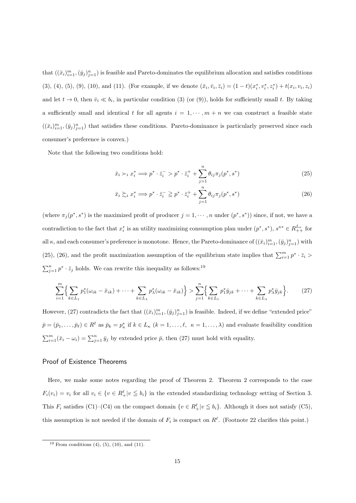that  $((\bar{x}_i)_{i=1}^m, (\bar{y}_j)_{j=1}^n)$  is feasible and Pareto-dominates the equilibrium allocation and satisfies conditions (3), (4), (5), (9), (10), and (11). (For example, if we denote  $(\bar{x}_i, \bar{v}_i, \bar{z}_i) = (1-t)(x_i^*, v_i^*, z_i^*) + t(x_i, v_i, z_i)$ and let  $t \to 0$ , then  $\bar{v}_i \ll b_i$ , in particular condition (3) (or (9)), holds for sufficiently small *t*. By taking a sufficiently small and identical *t* for all agents  $i = 1, \dots, m + n$  we can construct a feasible state  $((\bar{x}_i)_{i=1}^m, (\bar{y}_j)_{j=1}^n)$  that satisfies these conditions. Pareto-dominance is particularly preserved since each consumer's preference is convex.)

Note that the following two conditions hold:

$$
\bar{x}_i \succ_i x_i^* \Longrightarrow p^* \cdot \bar{z}_i^- > p^* \cdot \bar{z}_i^+ + \sum_{j=1}^n \theta_{ij} \pi_j(p^*, s^*)
$$
\n
$$
(25)
$$

$$
\bar{x}_i \gtrsim_i x_i^* \Longrightarrow p^* \cdot \bar{z}_i^- \geqq p^* \cdot \bar{z}_i^+ + \sum_{j=1}^n \theta_{ij} \pi_j(p^*, s^*)
$$
\n(26)

(where  $\pi_j(p^*, s^*)$  is the maximized profit of producer  $j = 1, \dots, n$  under  $(p^*, s^*)$ ) since, if not, we have a contradiction to the fact that  $x_i^*$  is an utility maximizing consumption plan under  $(p^*, s^*)$ ,  $s^{\kappa *} \in R_{++}^{L_{\kappa}}$  for all  $\kappa$ , and each consumer's preference is monotone. Hence, the Pareto-dominance of  $((\bar{x}_i)_{i=1}^m, (\bar{y}_j)_{j=1}^n)$  with (25), (26), and the profit maximization assumption of the equilibrium state implies that  $\sum_{i=1}^{m} p^* \cdot \bar{z}_i$  $\sum_{j=1}^{n} p^* \cdot \bar{z}_j$  holds. We can rewrite this inequality as follows:<sup>19</sup>

$$
\sum_{i=1}^{m} \Biggl\{ \sum_{k \in L_1} p_1^*(\omega_{ik} - \bar{x}_{ik}) + \dots + \sum_{k \in L_\lambda} p_\lambda^*(\omega_{ik} - \bar{x}_{ik}) \Biggr\} > \sum_{j=1}^{n} \Biggl\{ \sum_{k \in L_1} p_1^* \bar{y}_{jk} + \dots + \sum_{k \in L_\lambda} p_\lambda^* \bar{y}_{jk} \Biggr\}.
$$
 (27)

However, (27) contradicts the fact that  $((\bar{x}_i)_{i=1}^m, (\bar{y}_j)_{j=1}^n)$  is feasible. Indeed, if we define "extended price"  $\bar{p} = (\bar{p}_1, \ldots, \bar{p}_\ell) \in R^\ell$  as  $\bar{p}_k = p_k^*$  if  $k \in L_\kappa$   $(k = 1, \ldots, \ell, \kappa = 1, \ldots, \lambda)$  and evaluate feasibility condition  $\sum_{i=1}^{m}(\bar{x}_i - \omega_i) = \sum_{j=1}^{n} \bar{y}_j$  by extended price  $\bar{p}$ , then (27) must hold with equality.

### Proof of Existence Theorems

Here, we make some notes regarding the proof of Theorem 2. Theorem 2 corresponds to the case  $F_i(v_i) = v_i$  for all  $v_i \in \{v \in R_+^{\ell} | v \leq b_i\}$  in the extended standardizing technology setting of Section 3. This  $F_i$  satisfies (C1)–(C4) on the compact domain  $\{v \in R_+^{\ell} | v \leq b_i\}$ . Although it does not satisfy (C5), this assumption is not needed if the domain of  $F_i$  is compact on  $R^{\ell}$ . (Footnote 22 clarifies this point.)

<sup>&</sup>lt;sup>19</sup> From conditions  $(4)$ ,  $(5)$ ,  $(10)$ , and  $(11)$ .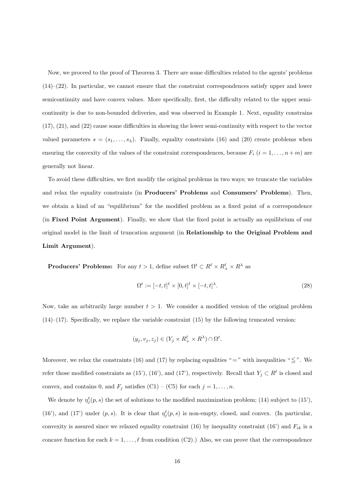Now, we proceed to the proof of Theorem 3. There are some difficulties related to the agents' problems  $(14)$ – $(22)$ . In particular, we cannot ensure that the constraint correspondences satisfy upper and lower semicontinuity and have convex values. More specifically, first, the difficulty related to the upper semicontinuity is due to non-bounded deliveries, and was observed in Example 1. Next, equality constrains (17), (21), and (22) cause some difficulties in showing the lower semi-continuity with respect to the vector valued parameters  $s = (s_1, \ldots, s_\lambda)$ . Finally, equality constraints (16) and (20) create problems when ensuring the convexity of the values of the constraint correspondences, because  $F_i$   $(i = 1, \ldots, n+m)$  are generally not linear.

To avoid these difficulties, we first modify the original problems in two ways; we truncate the variables and relax the equality constraints (in **Producers' Problems** and **Consumers' Problems**). Then, we obtain a kind of an "equilibrium" for the modified problem as a fixed point of a correspondence (in **Fixed Point Argument**). Finally, we show that the fixed point is actually an equilibrium of our original model in the limit of truncation argument (in **Relationship to the Original Problem and Limit Argument**).

**Producers' Problems:** For any  $t > 1$ , define subset  $\Omega^t \subset R^{\ell} \times R^{\ell} \times R^{\lambda}$  as

$$
\Omega^t := [-t, t]^\ell \times [0, t]^\ell \times [-t, t]^\lambda. \tag{28}
$$

Now, take an arbitrarily large number  $t > 1$ . We consider a modified version of the original problem  $(14)$ – $(17)$ . Specifically, we replace the variable constraint  $(15)$  by the following truncated version:

$$
(y_j, v_j, z_j) \in (Y_j \times R_+^{\ell} \times R^{\lambda}) \cap \Omega^t.
$$

Moreover, we relax the constraints (16) and (17) by replacing equalities " $=$ " with inequalities " $\leq$ ". We refer those modified constraints as (15'), (16'), and (17'), respectively. Recall that  $Y_j \subset R^{\ell}$  is closed and convex, and contains 0, and  $F_j$  satisfies (C1) – (C5) for each  $j = 1, ..., n$ .

We denote by  $\eta_j^t(p, s)$  the set of solutions to the modified maximization problem; (14) subject to (15'), (16'), and (17') under  $(p, s)$ . It is clear that  $\eta_j^t(p, s)$  is non-empty, closed, and convex. (In particular, convexity is assured since we relaxed equality constraint (16) by inequality constraint (16') and  $F_{ik}$  is a concave function for each  $k = 1, \ldots, \ell$  from condition (C2).) Also, we can prove that the correspondence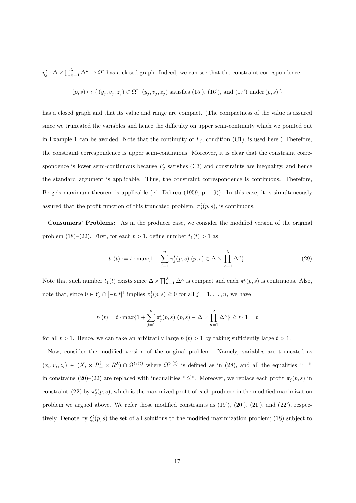$\eta_j^t : \Delta \times \prod_{\kappa=1}^{\lambda} \Delta^{\kappa} \to \Omega^t$  has a closed graph. Indeed, we can see that the constraint correspondence

$$
(p, s) \mapsto \{ (y_j, v_j, z_j) \in \Omega^t | (y_j, v_j, z_j) \text{ satisfies (15'), (16'), and (17') under } (p, s) \}
$$

has a closed graph and that its value and range are compact. (The compactness of the value is assured since we truncated the variables and hence the difficulty on upper semi-continuity which we pointed out in Example 1 can be avoided. Note that the continuity of  $F_j$ , condition (C1), is used here.) Therefore, the constraint correspondence is upper semi-continuous. Moreover, it is clear that the constraint correspondence is lower semi-continuous because  $F_j$  satisfies (C3) and constraints are inequality, and hence the standard argument is applicable. Thus, the constraint correspondence is continuous. Therefore, Berge's maximum theorem is applicable (cf. Debreu (1959, p. 19)). In this case, it is simultaneously assured that the profit function of this truncated problem,  $\pi_j^t(p, s)$ , is continuous.

**Consumers' Problems:** As in the producer case, we consider the modified version of the original problem (18)–(22). First, for each  $t > 1$ , define number  $t_1(t) > 1$  as

$$
t_1(t) := t \cdot \max\{1 + \sum_{j=1}^n \pi_j^t(p, s) | (p, s) \in \Delta \times \prod_{\kappa=1}^{\lambda} \Delta^{\kappa} \}.
$$
 (29)

Note that such number  $t_1(t)$  exists since  $\Delta \times \prod_{\kappa=1}^{\lambda} \Delta^{\kappa}$  is compact and each  $\pi_j^t(p, s)$  is continuous. Also, note that, since  $0 \in Y_j \cap [-t, t]^{\ell}$  implies  $\pi_j^t(p, s) \geq 0$  for all  $j = 1, \ldots, n$ , we have

$$
t_1(t) = t \cdot \max\{1 + \sum_{j=1}^n \pi_j^t(p,s) | (p,s) \in \Delta \times \prod_{\kappa=1}^{\lambda} \Delta^{\kappa}\} \geqq t \cdot 1 = t
$$

for all  $t > 1$ . Hence, we can take an arbitrarily large  $t_1(t) > 1$  by taking sufficiently large  $t > 1$ .

Now, consider the modified version of the original problem. Namely, variables are truncated as  $(x_i, v_i, z_i) \in (X_i \times R_+^{\ell} \times R^{\lambda}) \cap \Omega^{t_1(t)}$  where  $\Omega^{t_1(t)}$  is defined as in (28), and all the equalities "=" in constrains (20)–(22) are replaced with inequalities " $\leq$ ". Moreover, we replace each profit  $\pi_j(p, s)$  in constraint (22) by  $\pi_j^t(p, s)$ , which is the maximized profit of each producer in the modified maximization problem we argued above. We refer those modified constraints as  $(19')$ ,  $(20')$ ,  $(21')$ , and  $(22')$ , respectively. Denote by  $\xi_i^t(p, s)$  the set of all solutions to the modified maximization problem; (18) subject to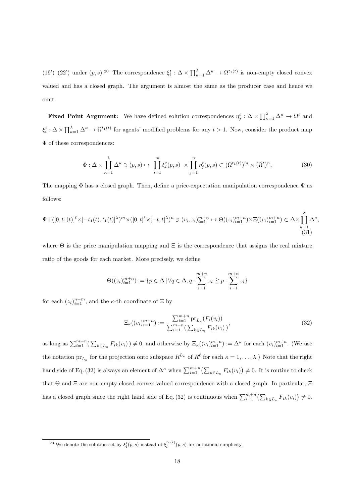(19')–(22') under  $(p, s)$ .<sup>20</sup> The correspondence  $\xi_i^t : \Delta \times \prod_{\kappa=1}^{\lambda} \Delta^{\kappa} \to \Omega^{t_1(t)}$  is non-empty closed convex valued and has a closed graph. The argument is almost the same as the producer case and hence we omit.

**Fixed Point Argument:** We have defined solution correspondences  $\eta_j^t : \Delta \times \prod_{\kappa=1}^{\lambda} \Delta^{\kappa} \to \Omega^t$  and  $\xi_i^t$ :  $\Delta \times \prod_{\kappa=1}^{\lambda} \Delta^{\kappa} \to \Omega^{t_1(t)}$  for agents' modified problems for any  $t > 1$ . Now, consider the product map Φ of these correspondences:

$$
\Phi: \Delta \times \prod_{\kappa=1}^{\lambda} \Delta^{\kappa} \ni (p, s) \mapsto \prod_{i=1}^{m} \xi_i^t(p, s) \times \prod_{j=1}^{n} \eta_j^t(p, s) \subset (\Omega^{t_1(t)})^m \times (\Omega^t)^n. \tag{30}
$$

The mapping  $\Phi$  has a closed graph. Then, define a price-expectation manipulation correspondence  $\Psi$  as follows:

$$
\Psi: ([0, t_1(t)]^{\ell} \times [-t_1(t), t_1(t)]^{\lambda})^m \times ([0, t]^{\ell} \times [-t, t]^{\lambda})^n \ni (v_i, z_i)_{i=1}^{m+n} \mapsto \Theta((z_i)_{i=1}^{m+n}) \times \Xi((v_i)_{i=1}^{m+n}) \subset \Delta \times \prod_{\kappa=1}^{\lambda} \Delta^{\kappa},
$$
\n(31)

where  $\Theta$  is the price manipulation mapping and  $\Xi$  is the correspondence that assigns the real mixture ratio of the goods for each market. More precisely, we define

$$
\Theta((z_i)_{i=1}^{m+n}) := \{ p \in \Delta \, | \, \forall q \in \Delta, q \cdot \sum_{i=1}^{m+n} z_i \geq p \cdot \sum_{i=1}^{m+n} z_i \}
$$

for each  $(z_i)_{i=1}^{n+m}$ , and the *κ*-th coordinate of  $\Xi$  by

$$
\Xi_{\kappa}((v_i)_{i=1}^{m+n}) := \frac{\sum_{i=1}^{m+n} \text{pr}_{L_{\kappa}}(F_i(v_i))}{\sum_{i=1}^{m+n} (\sum_{k \in L_{\kappa}} F_{ik}(v_i))},\tag{32}
$$

as long as  $\sum_{i=1}^{m+n}(\sum_{k\in L_{\kappa}} F_{ik}(v_i)) \neq 0$ , and otherwise by  $\Xi_{\kappa}((v_i)_{i=1}^{m+n}) := \Delta^{\kappa}$  for each  $(v_i)_{i=1}^{m+n}$ . (We use the notation  $pr_{L_{\kappa}}$  for the projection onto subspace  $R^{L_{\kappa}}$  of  $R^{\ell}$  for each  $\kappa = 1, \ldots, \lambda$ .) Note that the right hand side of Eq. (32) is always an element of  $\Delta^{\kappa}$  when  $\sum_{i=1}^{m+n} (\sum_{k \in L_{\kappa}} F_{ik}(v_i)) \neq 0$ . It is routine to check that Θ and Ξ are non-empty closed convex valued correspondence with a closed graph. In particular, Ξ has a closed graph since the right hand side of Eq. (32) is continuous when  $\sum_{i=1}^{m+n} (\sum_{k \in L_{\kappa}} F_{ik}(v_i)) \neq 0$ .

<sup>&</sup>lt;sup>20</sup> We denote the solution set by  $\xi_i^t(p, s)$  instead of  $\xi_i^{t_1(t)}(p, s)$  for notational simplicity.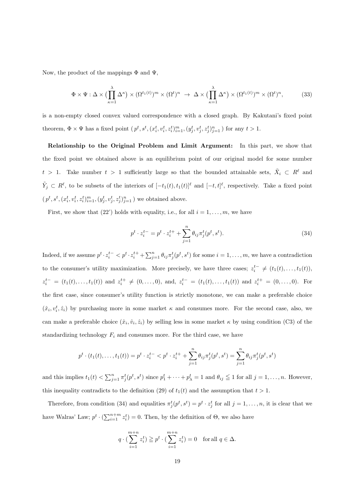Now, the product of the mappings  $\Phi$  and  $\Psi$ ,

$$
\Phi \times \Psi : \Delta \times \left(\prod_{\kappa=1}^{\lambda} \Delta^{\kappa}\right) \times \left(\Omega^{t_1(t)}\right)^m \times \left(\Omega^t\right)^n \to \Delta \times \left(\prod_{\kappa=1}^{\lambda} \Delta^{\kappa}\right) \times \left(\Omega^{t_1(t)}\right)^m \times \left(\Omega^t\right)^n, \tag{33}
$$

is a non-empty closed convex valued correspondence with a closed graph. By Kakutani's fixed point theorem,  $\Phi \times \Psi$  has a fixed point  $(p^t, s^t, (x_i^t, v_i^t, z_i^t)_{i=1}^m, (y_j^t, v_j^t, z_j^t)_{j=1}^n)$  for any  $t > 1$ .

**Relationship to the Original Problem and Limit Argument:** In this part, we show that the fixed point we obtained above is an equilibrium point of our original model for some number  $t > 1$ . Take number  $t > 1$  sufficiently large so that the bounded attainable sets,  $\tilde{X}_i \subset R^{\ell}$  and  $\tilde{Y}_j \subset R^{\ell}$ , to be subsets of the interiors of  $[-t_1(t), t_1(t)]^{\ell}$  and  $[-t, t]^{\ell}$ , respectively. Take a fixed point  $(p^{t}, s^{t}, (x_{i}^{t}, v_{i}^{t}, z_{i}^{t})_{i=1}^{m}, (y_{j}^{t}, v_{j}^{t}, z_{j}^{t})_{j=1}^{n})$  we obtained above.

First, we show that (22') holds with equality, i.e., for all  $i = 1, \ldots, m$ , we have

$$
p^t \cdot z_i^{t-} = p^t \cdot z_i^{t+} + \sum_{j=1}^n \theta_{ij} \pi_j^t(p^t, s^t).
$$
 (34)

Indeed, if we assume  $p^t \cdot z_i^{t-} < p^t \cdot z_i^{t+} + \sum_{j=1}^n \theta_{ij} \pi_j^t(p^t, s^t)$  for some  $i = 1, \ldots, m$ , we have a contradiction to the consumer's utility maximization. More precisely, we have three cases;  $z_i^{t-} \neq (t_1(t), \ldots, t_1(t)),$  $z_i^{t-} = (t_1(t),...,t_1(t))$  and  $z_i^{t+} \neq (0,...,0)$ , and,  $z_i^{t-} = (t_1(t),...,t_1(t))$  and  $z_i^{t+} = (0,...,0)$ . For the first case, since consumer's utility function is strictly monotone, we can make a preferable choice  $(\hat{x}_i, v_i^t, \hat{z}_i)$  by purchasing more in some market  $\kappa$  and consumes more. For the second case, also, we can make a preferable choice  $(\hat{x}_i, \hat{v}_i, \hat{z}_i)$  by selling less in some market  $\kappa$  by using condition (C3) of the standardizing technology  $F_i$  and consumes more. For the third case, we have

$$
p^t \cdot (t_1(t), \dots, t_1(t)) = p^t \cdot z_i^{t-} < p^t \cdot z_i^{t+} + \sum_{j=1}^n \theta_{ij} \pi_j^t(p^t, s^t) = \sum_{j=1}^n \theta_{ij} \pi_j^t(p^t, s^t)
$$

and this implies  $t_1(t) < \sum_{j=1}^n \pi_j^t(p^t, s^t)$  since  $p_1^t + \cdots + p_{\lambda}^t = 1$  and  $\theta_{ij} \leq 1$  for all  $j = 1, \ldots, n$ . However, this inequality contradicts to the definition (29) of  $t_1(t)$  and the assumption that  $t > 1$ .

Therefore, from condition (34) and equalities  $\pi_j^t(p^t, s^t) = p^t \cdot z_j^t$  for all  $j = 1, \ldots, n$ , it is clear that we have Walras' Law;  $p^t \cdot (\sum_{i=1}^{n+m} z_i^t) = 0$ . Then, by the definition of  $\Theta$ , we also have

$$
q \cdot \left(\sum_{i=1}^{m+n} z_i^t\right) \geqq p^t \cdot \left(\sum_{i=1}^{m+n} z_i^t\right) = 0 \text{ for all } q \in \Delta.
$$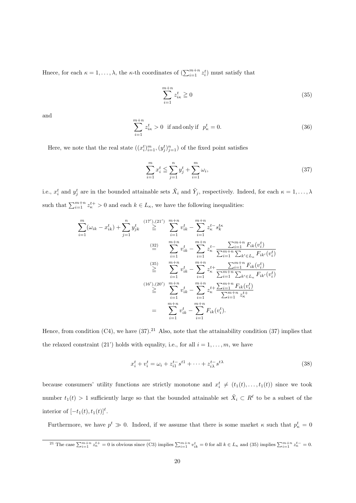Hnece, for each  $\kappa = 1, \ldots, \lambda$ , the  $\kappa$ -th coordinates of  $(\sum_{i=1}^{m+n} z_i^t)$  must satisfy that

$$
\sum_{i=1}^{m+n} z_{i\kappa}^t \ge 0
$$
\n(35)

and

$$
\sum_{i=1}^{m+n} z_{i\kappa}^t > 0 \quad \text{if and only if} \quad p_{\kappa}^t = 0. \tag{36}
$$

Here, we note that the real state  $((x_i^t)_{i=1}^m, (y_j^t)_{j=1}^n)$  of the fixed point satisfies

$$
\sum_{i=1}^{m} x_i^t \le \sum_{j=1}^{n} y_j^t + \sum_{i=1}^{m} \omega_i,
$$
\n(37)

i.e.,  $x_i^t$  and  $y_j^t$  are in the bounded attainable sets  $\tilde{X}_i$  and  $\tilde{Y}_j$ , respectively. Indeed, for each  $\kappa = 1, \ldots, \lambda$ such that  $\sum_{i=1}^{m+n} z_k^{t+} > 0$  and each  $k \in L_{\kappa}$ , we have the following inequalities:

$$
\sum_{i=1}^{m} (\omega_{ik} - x_{ik}^{t}) + \sum_{j=1}^{n} y_{jk}^{t} \stackrel{(17'),(21')}{\geq} \sum_{i=1}^{m+n} v_{ik}^{t} - \sum_{i=1}^{m+n} z_{\kappa}^{t-s} s_{k}^{t\kappa}
$$
\n
$$
\stackrel{(32)}{=} \sum_{i=1}^{m+n} v_{ik}^{t} - \sum_{i=1}^{m+n} z_{\kappa}^{t-s} \frac{\sum_{i=1}^{m+n} F_{ik}(v_{i}^{t})}{\sum_{i=1}^{m+n} \sum_{k' \in L_{\kappa}} F_{ik'}(v_{i}^{t})}
$$
\n
$$
\stackrel{(35)}{\geq} \sum_{i=1}^{m+n} v_{ik}^{t} - \sum_{i=1}^{m+n} z_{\kappa}^{t+} \frac{\sum_{i=1}^{m+n} F_{ik}(v_{i}^{t})}{\sum_{i=1}^{m+n} \sum_{k' \in L_{\kappa}} F_{ik'}(v_{i}^{t})}
$$
\n
$$
\stackrel{(16')(,20')}{\geq} \sum_{i=1}^{m+n} v_{ik}^{t} - \sum_{i=1}^{m+n} z_{\kappa}^{t+} \frac{\sum_{i=1}^{m+n} F_{ik}(v_{i}^{t})}{\sum_{i=1}^{m+n} z_{\kappa}^{t+}}
$$
\n
$$
= \sum_{i=1}^{m+n} v_{ik}^{t} - \sum_{i=1}^{m+n} F_{ik}(v_{i}^{t}).
$$

Hence, from condition (C4), we have  $(37)$ .<sup>21</sup> Also, note that the attainability condition (37) implies that the relaxed constraint (21') holds with equality, i.e., for all  $i = 1, \ldots, m$ , we have

$$
x_i^t + v_i^t = \omega_i + z_{i1}^{t-} s^{t1} + \dots + z_{i\lambda}^{t-} s^{t\lambda}
$$
\n
$$
(38)
$$

because consumers' utility functions are strictly monotone and  $x_i^t \neq (t_1(t), \ldots, t_1(t))$  since we took number  $t_1(t) > 1$  sufficiently large so that the bounded attainable set  $\tilde{X}_i \subset R^{\ell}$  to be a subset of the interior of  $[-t_1(t), t_1(t)]^{\ell}$ .

Furthermore, we have  $p^t \gg 0$ . Indeed, if we assume that there is some market  $\kappa$  such that  $p^t_{\kappa} = 0$ 

<sup>&</sup>lt;sup>21</sup> The case  $\sum_{i=1}^{m+n} z_k^{t+} = 0$  is obvious since (C3) implies  $\sum_{i=1}^{m+n} v_{ik}^t = 0$  for all  $k \in L_{\kappa}$  and (35) implies  $\sum_{i=1}^{m+n} z_{\kappa}^{t-} = 0$ .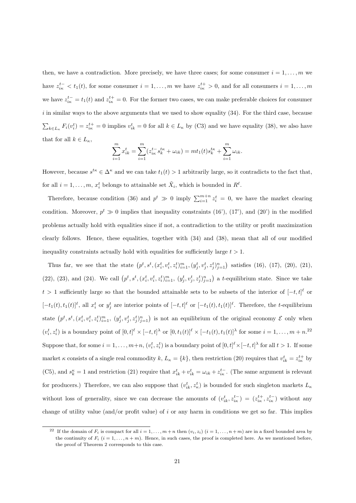then, we have a contradiction. More precisely, we have three cases; for some consumer  $i = 1, \ldots, m$  we have  $z_{i\kappa}^{t-} < t_1(t)$ , for some consumer  $i = 1, \ldots, m$  we have  $z_{i\kappa}^{t+} > 0$ , and for all consumers  $i = 1, \ldots, m$ we have  $z_{ik}^{t-} = t_1(t)$  and  $z_{ik}^{t+} = 0$ . For the former two cases, we can make preferable choices for consumer *i* in similar ways to the above arguments that we used to show equality (34). For the third case, because  $\sum_{k\in L_{\kappa}} F_i(v_i^t) = z_{i\kappa}^{t+1} = 0$  implies  $v_{ik}^t = 0$  for all  $k \in L_{\kappa}$  by (C3) and we have equality (38), we also have that for all  $k \in L_{\kappa}$ ,

$$
\sum_{i=1}^{m} x_{ik}^{t} = \sum_{i=1}^{m} (z_{ik}^{t-s} s_{k}^{t\kappa} + \omega_{ik}) = mt_1(t)s_k^{t\kappa} + \sum_{i=1}^{m} \omega_{ik}.
$$

However, because  $s^{t\kappa} \in \Delta^{\kappa}$  and we can take  $t_1(t) > 1$  arbitrarily large, so it contradicts to the fact that, for all  $i = 1, \ldots, m$ ,  $x_i^t$  belongs to attainable set  $\tilde{X}_i$ , which is bounded in  $R^{\ell}$ .

Therefore, because condition (36) and  $p^t \gg 0$  imply  $\sum_{i=1}^{m+n} z_i^t = 0$ , we have the market clearing condition. Moreover,  $p^t \gg 0$  implies that inequality constraints (16'), (17'), and (20') in the modified problems actually hold with equalities since if not, a contradiction to the utility or profit maximization clearly follows. Hence, these equalities, together with (34) and (38), mean that all of our modified inequality constraints actually hold with equalities for sufficiently large  $t > 1$ .

Thus far, we see that the state  $(p^t, s^t, (x_i^t, v_i^t, z_i^t)_{i=1}^m, (y_j^t, v_j^t, z_j^t)_{j=1}^n)$  satisfies (16), (17), (20), (21), (22), (23), and (24). We call  $(p^t, s^t, (x_i^t, v_i^t, z_i^t)_{i=1}^m, (y_j^t, v_j^t, z_j^t)_{j=1}^n)$  a t-equilibrium state. Since we take  $t > 1$  sufficiently large so that the bounded attainable sets to be subsets of the interior of  $[-t, t]^\ell$  or  $[-t_1(t), t_1(t)]^{\ell}$ , all  $x_i^t$  or  $y_j^t$  are interior points of  $[-t, t]^{\ell}$  or  $[-t_1(t), t_1(t)]^{\ell}$ . Therefore, the t-equilibrium state  $(p^t, s^t, (x_i^t, v_i^t, z_i^t)_{i=1}^m, (y_j^t, v_j^t, z_j^t)_{j=1}^n)$  is not an equilibrium of the original economy  $\mathcal E$  only when  $(v_i^t, z_i^t)$  is a boundary point of  $[0, t]^{\ell} \times [-t, t]^{\lambda}$  or  $[0, t_1(t)]^{\ell} \times [-t_1(t), t_1(t)]^{\lambda}$  for some  $i = 1, \ldots, m + n$ .<sup>22</sup> Suppose that, for some  $i = 1, ..., m+n$ ,  $(v_i^t, z_i^t)$  is a boundary point of  $[0, t]^{\ell} \times [-t, t]^{\lambda}$  for all  $t > 1$ . If some market *κ* consists of a single real commodity *k*,  $L_{\kappa} = \{k\}$ , then restriction (20) requires that  $v_{ik}^t = z_{ik}^{t+}$  by (C5), and  $s_k^{\kappa} = 1$  and restriction (21) require that  $x_{ik}^t + v_{ik}^t = \omega_{ik} + z_{ik}^{t-}$ . (The same argument is relevant for producers.) Therefore, we can also suppose that  $(v_{ik}^t, z_{\kappa}^t)$  is bounded for such singleton markets  $L_{\kappa}$ without loss of generality, since we can decrease the amounts of  $(v_{ik}^t, z_{ik}^{t-}) = (z_{ik}^{t+}, z_{ik}^{t-})$  without any change of utility value (and/or profit value) of *i* or any harm in conditions we get so far. This implies

<sup>&</sup>lt;sup>22</sup> If the domain of  $F_i$  is compact for all  $i = 1, ..., m + n$  then  $(v_i, z_i)$   $(i = 1, ..., n + m)$  are in a fixed bounded area by the continuity of  $F_i$  ( $i = 1, \ldots, n + m$ ). Hence, in such cases, the proof is completed here. As we mentioned before, the proof of Theorem 2 corresponds to this case.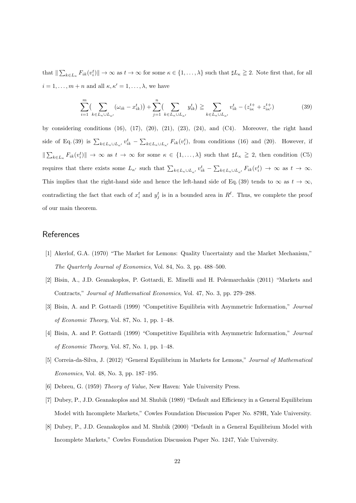that  $\|\sum_{k\in L_{\kappa}} F_{ik}(v_i^t)\| \to \infty$  as  $t \to \infty$  for some  $\kappa \in \{1,\ldots,\lambda\}$  such that  $\sharp L_{\kappa} \geq 2$ . Note first that, for all  $i = 1, \ldots, m + n$  and all  $\kappa, \kappa' = 1, \ldots, \lambda$ , we have

$$
\sum_{i=1}^{m} \left( \sum_{k \in L_{\kappa} \cup L_{\kappa'}} (\omega_{ik} - x_{ik}^{t}) \right) + \sum_{j=1}^{n} \left( \sum_{k \in L_{\kappa} \cup L_{\kappa'}} y_{ik}^{t} \right) \geq \sum_{k \in L_{\kappa} \cup L_{\kappa'}} v_{ik}^{t} - (z_{ik}^{t+} + z_{ik'}^{t+})
$$
(39)

by considering conditions  $(16)$ ,  $(17)$ ,  $(20)$ ,  $(21)$ ,  $(23)$ ,  $(24)$ , and  $(C4)$ . Moreover, the right hand side of Eq. (39) is  $\sum_{k\in L_{\kappa}\cup L_{\kappa'}} v_{ik}^t - \sum_{k\in L_{\kappa}\cup L_{\kappa'}} F_{ik}(v_i^t)$ , from conditions (16) and (20). However, if  $\|\sum_{k\in L_{\kappa}} F_{ik}(v_i^t)\| \to \infty$  as  $t \to \infty$  for some  $\kappa \in \{1,\ldots,\lambda\}$  such that  $\sharp L_{\kappa} \geq 2$ , then condition (C5) requires that there exists some  $L_{\kappa'}$  such that  $\sum_{k \in L_{\kappa} \cup L_{\kappa'}} v_{ik}^t - \sum_{k \in L_{\kappa} \cup L_{\kappa'}} F_{ik}(v_i^t) \to \infty$  as  $t \to \infty$ . This implies that the right-hand side and hence the left-hand side of Eq. (39) tends to  $\infty$  as  $t \to \infty$ , contradicting the fact that each of  $x_i^t$  and  $y_j^t$  is in a bounded area in  $R^{\ell}$ . Thus, we complete the proof of our main theorem.

## **References**

- [1] Akerlof, G.A. (1970) "The Market for Lemons: Quality Uncertainty and the Market Mechanism," *The Quarterly Journal of Economics*, Vol. 84, No. 3, pp. 488–500.
- [2] Bisin, A., J.D. Geanakoplos, P. Gottardi, E. Minelli and H. Polemarchakis (2011) "Markets and Contracts," *Journal of Mathematical Economics*, Vol. 47, No. 3, pp. 279–288.
- [3] Bisin, A. and P. Gottardi (1999) "Competitive Equilibria with Asymmetric Information," *Journal of Economic Theory*, Vol. 87, No. 1, pp. 1–48.
- [4] Bisin, A. and P. Gottardi (1999) "Competitive Equilibria with Asymmetric Information," *Journal of Economic Theory*, Vol. 87, No. 1, pp. 1–48.
- [5] Correia-da-Silva, J. (2012) "General Equilibrium in Markets for Lemons," *Journal of Mathematical Economics*, Vol. 48, No. 3, pp. 187–195.
- [6] Debreu, G. (1959) *Theory of Value*, New Haven: Yale University Press.
- [7] Dubey, P., J.D. Geanakoplos and M. Shubik (1989) "Default and Efficiency in a General Equilibrium Model with Incomplete Markets," Cowles Foundation Discussion Paper No. 879R, Yale University.
- [8] Dubey, P., J.D. Geanakoplos and M. Shubik (2000) "Default in a General Equilibrium Model with Incomplete Markets," Cowles Foundation Discussion Paper No. 1247, Yale University.